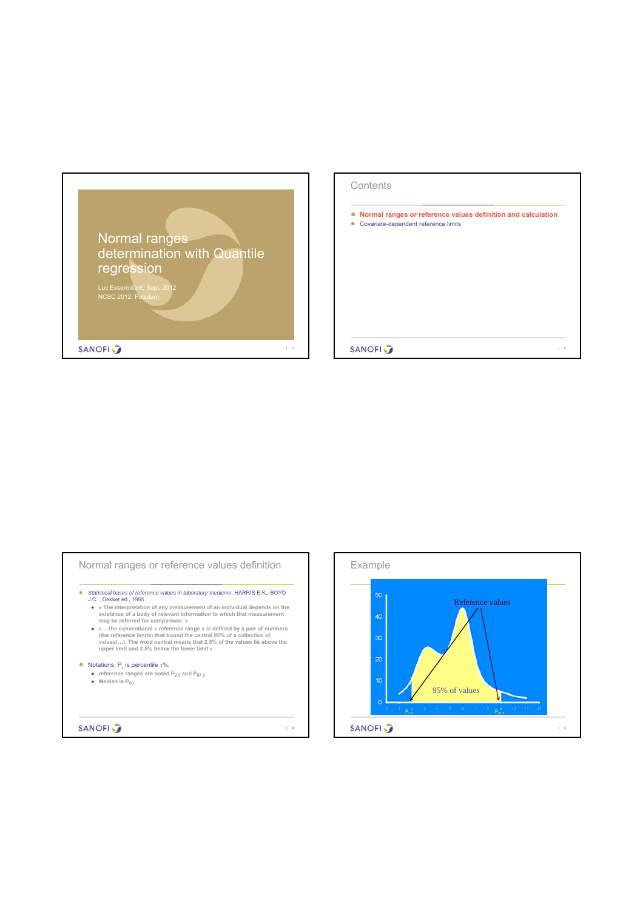

| Contents                                                                                             |                |
|------------------------------------------------------------------------------------------------------|----------------|
| Normal ranges or reference values definition and calculation<br>Covariate-dependent reference limits |                |
|                                                                                                      |                |
|                                                                                                      |                |
|                                                                                                      |                |
| <b>SANOFI</b>                                                                                        | $\overline{2}$ |

| • reference ranges are noted $P_{2.5}$ and $P_{97.5}$<br>Median is $P_{50}$                                                                                                                                                                                                                          |  |
|------------------------------------------------------------------------------------------------------------------------------------------------------------------------------------------------------------------------------------------------------------------------------------------------------|--|
| (the reference limits) that bound the central 95% of a collection of<br>values(). The word central means that 2.5% of the values lie above the<br>upper limit and 2.5% below the lower limit »<br>Notations: $Pr$ is percentile $\tau$ %,                                                            |  |
| J.C., Dekker ed., 1995<br>• « The interpretation of any measurement of an individual depends on the<br>existence of a body of relevant information to which that measurement<br>may be referred for comparison. »<br>$\bullet$ «the conventional « reference range » is defined by a pair of numbers |  |
| Statistical bases of reference values in laboratory medicine, HARRIS E.K., BOYD                                                                                                                                                                                                                      |  |

 $\overline{\mathbf{1}}$ 

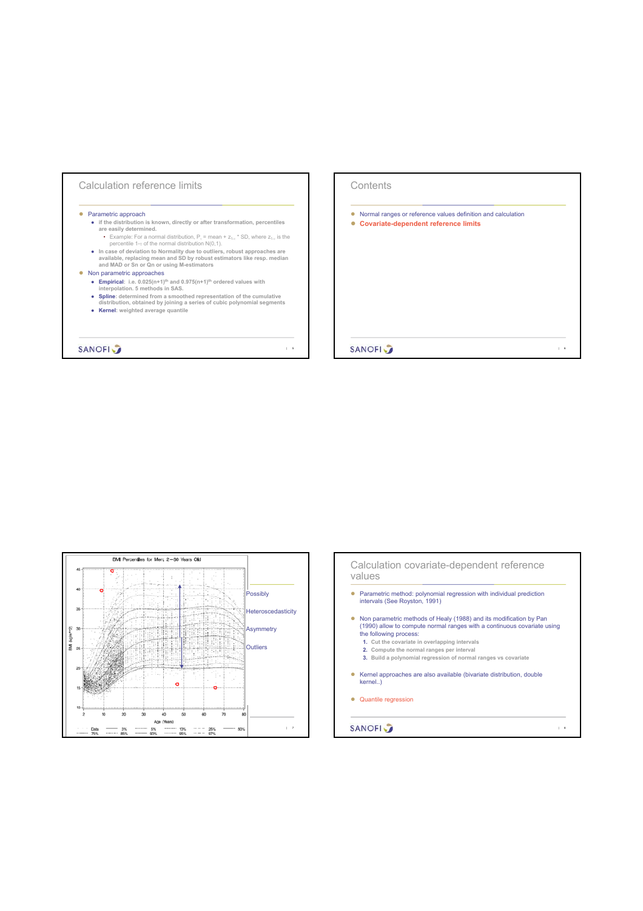





| 6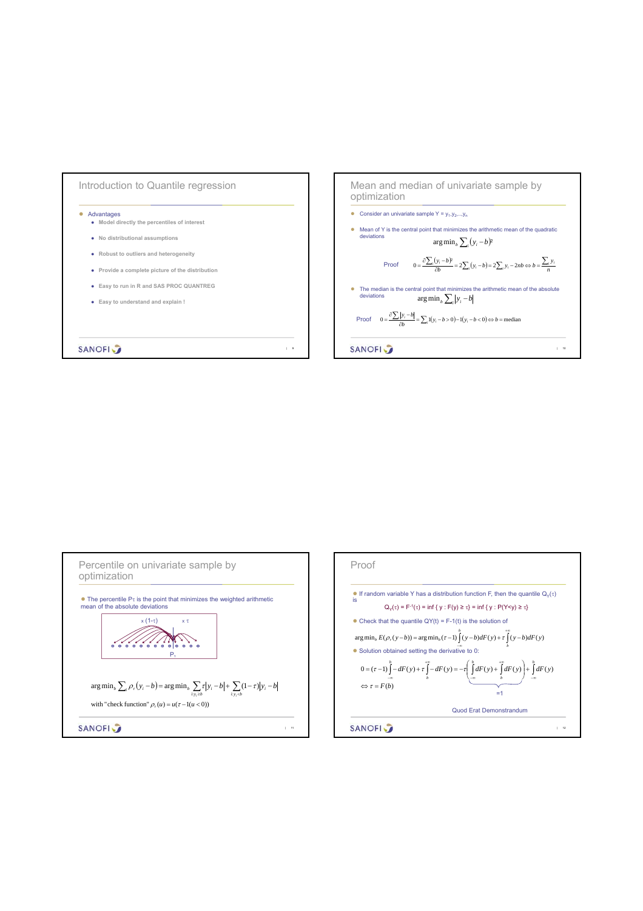



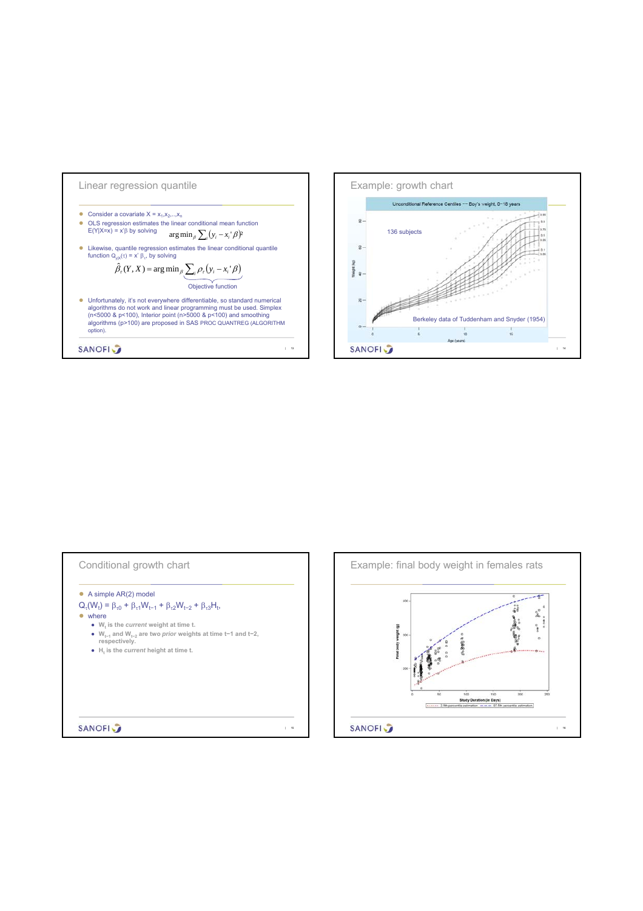



| $Q_{\tau}(W_t) = \beta_{\tau 0} + \beta_{\tau 1} W_{t-1} + \beta_{\tau 2} W_{t-2} + \beta_{\tau 3} H_t$ |  |
|---------------------------------------------------------------------------------------------------------|--|
| where                                                                                                   |  |
| • W <sub>r</sub> is the <i>current</i> weight at time t.                                                |  |
| • $W_{t-1}$ and $W_{t-2}$ are two <i>prior</i> weights at time t-1 and t-2,<br>respectively.            |  |
| • H, is the <i>current</i> height at time t.                                                            |  |
|                                                                                                         |  |
|                                                                                                         |  |
|                                                                                                         |  |
|                                                                                                         |  |
|                                                                                                         |  |

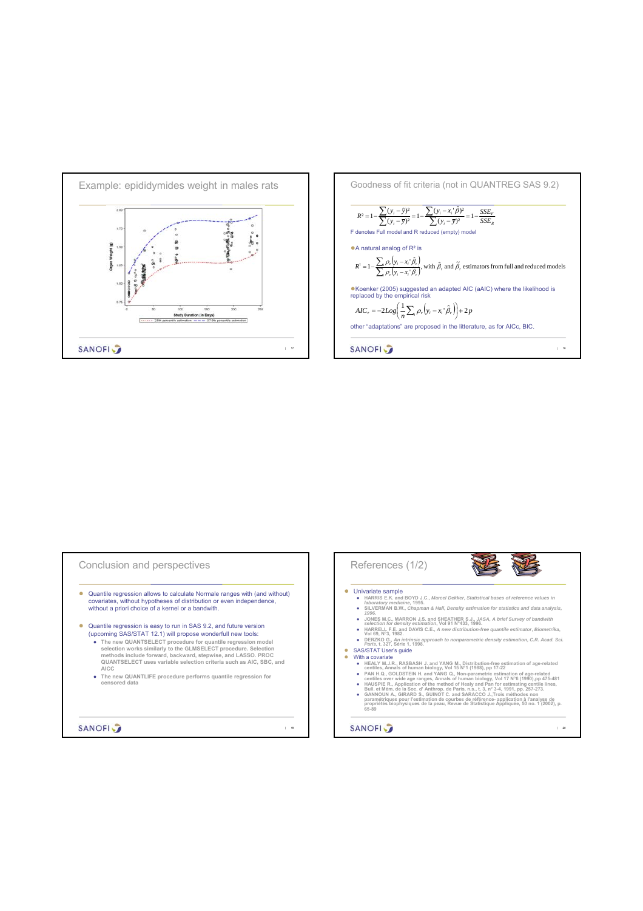



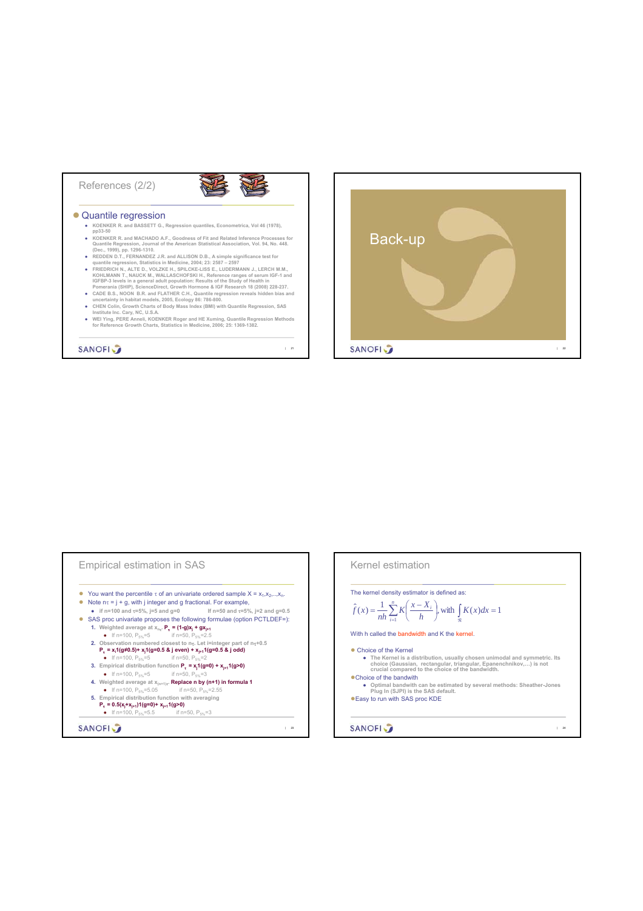## References (2/2)



 $| 21$ 

## ● Quantile regression

- **KOENKER R. and BASSETT G., Regression quantiles, Econometrica, Vol 46 (1978), pp33-50**
- 
- 
- FOENNER R. and MACHADO A.F., Goodness of Fit and Related Inference Processes for<br>
(Dec., 1999), pp. 1296-1310.<br>
(Dec., 1999), pp. 1296-1310.<br>
REDDEN D.T., FERNANDEZ J.R. and ALLISON D.B., A simple significance test for<br>
(
- 
- 
- 

**SANOFI** 

Back-up **SANOFI** | 22



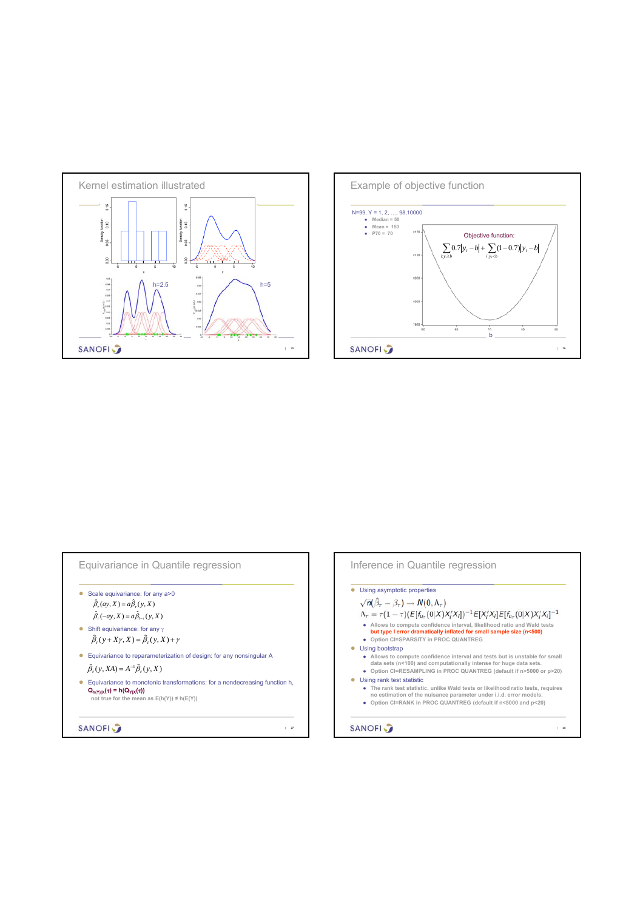



| Scale equivariance: for any a>0                                                                                                                                        |
|------------------------------------------------------------------------------------------------------------------------------------------------------------------------|
| $\hat{\beta}_z(av, X) = a\hat{\beta}_z(v, X)$                                                                                                                          |
| $\hat{\beta}_{\epsilon}(-ay, X) = a\hat{\beta}_{\epsilon}(\gamma, X)$                                                                                                  |
| Shift equivariance: for any $\gamma$                                                                                                                                   |
| $\hat{\beta}_-(\nu+X\gamma,X)=\hat{\beta}_-(\nu,X)+\gamma$                                                                                                             |
| Equivariance to reparameterization of design: for any nonsingular A                                                                                                    |
| $\hat{\beta}_r(v, XA) = A^{-1} \hat{\beta}_r(v, X)$                                                                                                                    |
| Equivariance to monotonic transformations: for a nondecreasing function h,<br>$Q_{h(Y) X}(\tau) = h(Q_{Y X}(\tau))$<br>not true for the mean as $E(h(Y)) \neq h(E(Y))$ |